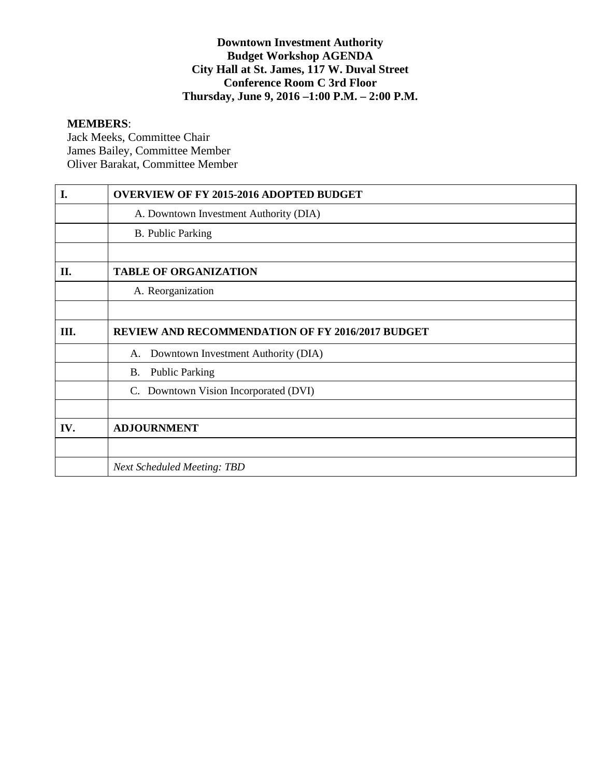## **Downtown Investment Authority Budget Workshop AGENDA City Hall at St. James, 117 W. Duval Street Conference Room C 3rd Floor Thursday, June 9, 2016 –1:00 P.M. – 2:00 P.M.**

#### **MEMBERS**:

Jack Meeks, Committee Chair James Bailey, Committee Member Oliver Barakat, Committee Member

| I.  | <b>OVERVIEW OF FY 2015-2016 ADOPTED BUDGET</b>          |
|-----|---------------------------------------------------------|
|     | A. Downtown Investment Authority (DIA)                  |
|     | <b>B.</b> Public Parking                                |
|     |                                                         |
| II. | <b>TABLE OF ORGANIZATION</b>                            |
|     | A. Reorganization                                       |
|     |                                                         |
| Ш.  | <b>REVIEW AND RECOMMENDATION OF FY 2016/2017 BUDGET</b> |
|     | Downtown Investment Authority (DIA)<br>A.               |
|     | <b>Public Parking</b><br><b>B.</b>                      |
|     | C. Downtown Vision Incorporated (DVI)                   |
|     |                                                         |
| IV. | <b>ADJOURNMENT</b>                                      |
|     |                                                         |
|     | <b>Next Scheduled Meeting: TBD</b>                      |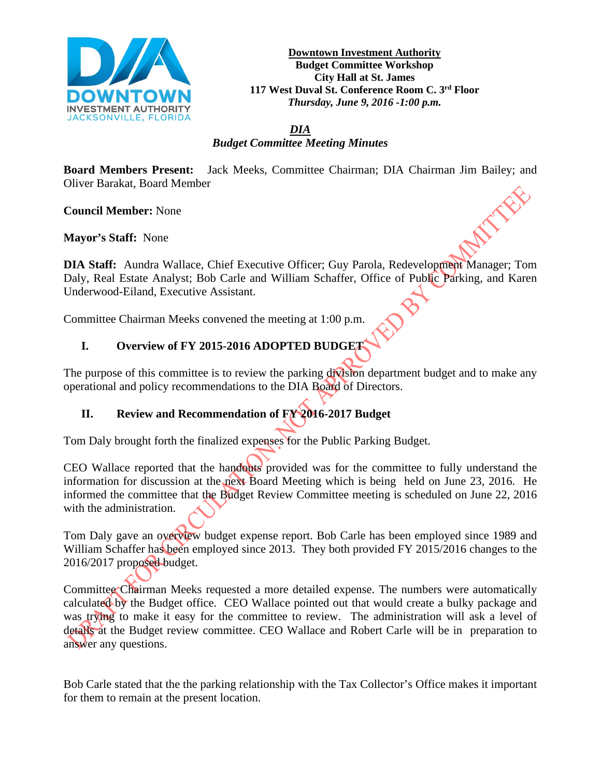

**Downtown Investment Authority Budget Committee Workshop City Hall at St. James 117 West Duval St. Conference Room C. 3rd Floor** *Thursday, June 9, 2016 -1:00 p.m.*

*DIA Budget Committee Meeting Minutes*

**Board Members Present:** Jack Meeks, Committee Chairman; DIA Chairman Jim Bailey; and Oliver Barakat, Board Member

**Council Member:** None

**Mayor's Staff:** None

**DIA Staff:** Aundra Wallace, Chief Executive Officer; Guy Parola, Redevelopment Manager; Tom Daly, Real Estate Analyst; Bob Carle and William Schaffer, Office of Public Parking, and Karen Underwood-Eiland, Executive Assistant.

Committee Chairman Meeks convened the meeting at 1:00 p.m.

# **I. Overview of FY 2015-2016 ADOPTED BUDGET**

The purpose of this committee is to review the parking division department budget and to make any operational and policy recommendations to the DIA Board of Directors.

# **II. Review and Recommendation of FY 2016-2017 Budget**

Tom Daly brought forth the finalized expenses for the Public Parking Budget.

CEO Wallace reported that the handouts provided was for the committee to fully understand the information for discussion at the next Board Meeting which is being held on June 23, 2016. He informed the committee that the Budget Review Committee meeting is scheduled on June 22, 2016 with the administration.

Tom Daly gave an overview budget expense report. Bob Carle has been employed since 1989 and William Schaffer has been employed since 2013. They both provided FY 2015/2016 changes to the 2016/2017 proposed budget.

Committee Chairman Meeks requested a more detailed expense. The numbers were automatically calculated by the Budget office. CEO Wallace pointed out that would create a bulky package and was trying to make it easy for the committee to review. The administration will ask a level of details at the Budget review committee. CEO Wallace and Robert Carle will be in preparation to answer any questions.

Bob Carle stated that the the parking relationship with the Tax Collector's Office makes it important for them to remain at the present location.